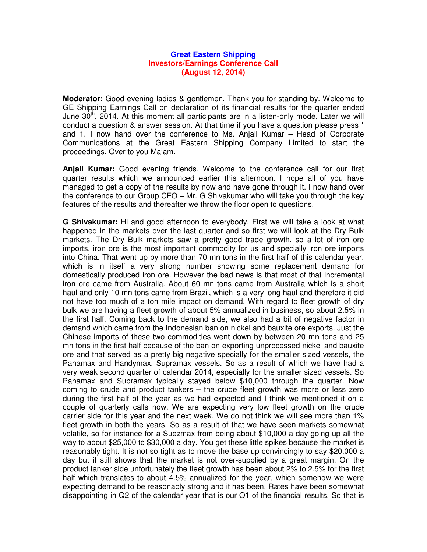## **Great Eastern Shipping Investors/Earnings Conference Call (August 12, 2014)**

**Moderator:** Good evening ladies & gentlemen. Thank you for standing by. Welcome to GE Shipping Earnings Call on declaration of its financial results for the quarter ended June 30<sup>th</sup>, 2014. At this moment all participants are in a listen-only mode. Later we will conduct a question & answer session. At that time if you have a question please press \* and 1. I now hand over the conference to Ms. Anjali Kumar – Head of Corporate Communications at the Great Eastern Shipping Company Limited to start the proceedings. Over to you Ma'am.

**Anjali Kumar:** Good evening friends. Welcome to the conference call for our first quarter results which we announced earlier this afternoon. I hope all of you have managed to get a copy of the results by now and have gone through it. I now hand over the conference to our Group CFO – Mr. G Shivakumar who will take you through the key features of the results and thereafter we throw the floor open to questions.

**G Shivakumar:** Hi and good afternoon to everybody. First we will take a look at what happened in the markets over the last quarter and so first we will look at the Dry Bulk markets. The Dry Bulk markets saw a pretty good trade growth, so a lot of iron ore imports, iron ore is the most important commodity for us and specially iron ore imports into China. That went up by more than 70 mn tons in the first half of this calendar year, which is in itself a very strong number showing some replacement demand for domestically produced iron ore. However the bad news is that most of that incremental iron ore came from Australia. About 60 mn tons came from Australia which is a short haul and only 10 mn tons came from Brazil, which is a very long haul and therefore it did not have too much of a ton mile impact on demand. With regard to fleet growth of dry bulk we are having a fleet growth of about 5% annualized in business, so about 2.5% in the first half. Coming back to the demand side, we also had a bit of negative factor in demand which came from the Indonesian ban on nickel and bauxite ore exports. Just the Chinese imports of these two commodities went down by between 20 mn tons and 25 mn tons in the first half because of the ban on exporting unprocessed nickel and bauxite ore and that served as a pretty big negative specially for the smaller sized vessels, the Panamax and Handymax, Supramax vessels. So as a result of which we have had a very weak second quarter of calendar 2014, especially for the smaller sized vessels. So Panamax and Supramax typically stayed below \$10,000 through the quarter. Now coming to crude and product tankers – the crude fleet growth was more or less zero during the first half of the year as we had expected and I think we mentioned it on a couple of quarterly calls now. We are expecting very low fleet growth on the crude carrier side for this year and the next week. We do not think we will see more than 1% fleet growth in both the years. So as a result of that we have seen markets somewhat volatile, so for instance for a Suezmax from being about \$10,000 a day going up all the way to about \$25,000 to \$30,000 a day. You get these little spikes because the market is reasonably tight. It is not so tight as to move the base up convincingly to say \$20,000 a day but it still shows that the market is not over-supplied by a great margin. On the product tanker side unfortunately the fleet growth has been about 2% to 2.5% for the first half which translates to about 4.5% annualized for the year, which somehow we were expecting demand to be reasonably strong and it has been. Rates have been somewhat disappointing in Q2 of the calendar year that is our Q1 of the financial results. So that is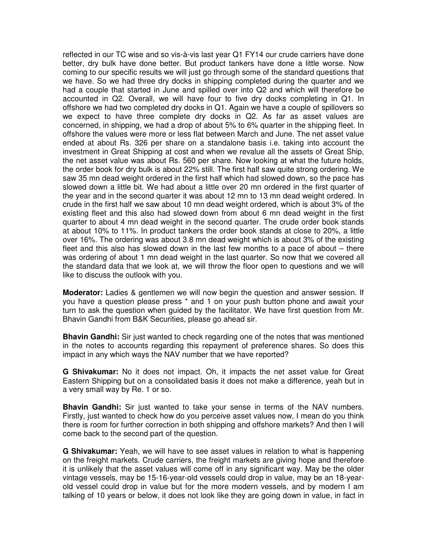reflected in our TC wise and so vis-à-vis last year Q1 FY14 our crude carriers have done better, dry bulk have done better. But product tankers have done a little worse. Now coming to our specific results we will just go through some of the standard questions that we have. So we had three dry docks in shipping completed during the quarter and we had a couple that started in June and spilled over into Q2 and which will therefore be accounted in Q2. Overall, we will have four to five dry docks completing in Q1. In offshore we had two completed dry docks in Q1. Again we have a couple of spillovers so we expect to have three complete dry docks in Q2. As far as asset values are concerned, in shipping, we had a drop of about 5% to 6% quarter in the shipping fleet. In offshore the values were more or less flat between March and June. The net asset value ended at about Rs. 326 per share on a standalone basis i.e. taking into account the investment in Great Shipping at cost and when we revalue all the assets of Great Ship, the net asset value was about Rs. 560 per share. Now looking at what the future holds, the order book for dry bulk is about 22% still. The first half saw quite strong ordering. We saw 35 mn dead weight ordered in the first half which had slowed down, so the pace has slowed down a little bit. We had about a little over 20 mn ordered in the first quarter of the year and in the second quarter it was about 12 mn to 13 mn dead weight ordered. In crude in the first half we saw about 10 mn dead weight ordered, which is about 3% of the existing fleet and this also had slowed down from about 6 mn dead weight in the first quarter to about 4 mn dead weight in the second quarter. The crude order book stands at about 10% to 11%. In product tankers the order book stands at close to 20%, a little over 16%. The ordering was about 3.8 mn dead weight which is about 3% of the existing fleet and this also has slowed down in the last few months to a pace of about – there was ordering of about 1 mn dead weight in the last quarter. So now that we covered all the standard data that we look at, we will throw the floor open to questions and we will like to discuss the outlook with you.

**Moderator:** Ladies & gentlemen we will now begin the question and answer session. If you have a question please press \* and 1 on your push button phone and await your turn to ask the question when guided by the facilitator. We have first question from Mr. Bhavin Gandhi from B&K Securities, please go ahead sir.

**Bhavin Gandhi:** Sir just wanted to check regarding one of the notes that was mentioned in the notes to accounts regarding this repayment of preference shares. So does this impact in any which ways the NAV number that we have reported?

**G Shivakumar:** No it does not impact. Oh, it impacts the net asset value for Great Eastern Shipping but on a consolidated basis it does not make a difference, yeah but in a very small way by Re. 1 or so.

**Bhavin Gandhi:** Sir just wanted to take your sense in terms of the NAV numbers. Firstly, just wanted to check how do you perceive asset values now, I mean do you think there is room for further correction in both shipping and offshore markets? And then I will come back to the second part of the question.

**G Shivakumar:** Yeah, we will have to see asset values in relation to what is happening on the freight markets. Crude carriers, the freight markets are giving hope and therefore it is unlikely that the asset values will come off in any significant way. May be the older vintage vessels, may be 15-16-year-old vessels could drop in value, may be an 18-yearold vessel could drop in value but for the more modern vessels, and by modern I am talking of 10 years or below, it does not look like they are going down in value, in fact in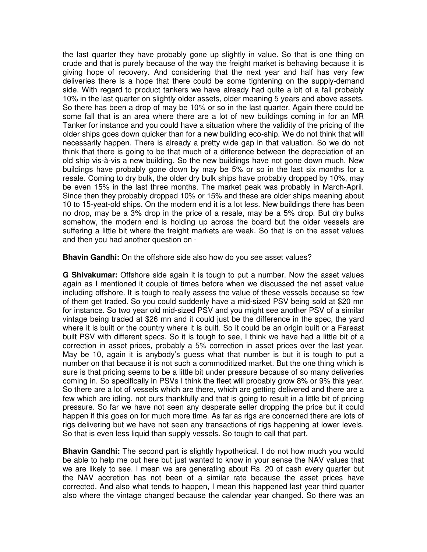the last quarter they have probably gone up slightly in value. So that is one thing on crude and that is purely because of the way the freight market is behaving because it is giving hope of recovery. And considering that the next year and half has very few deliveries there is a hope that there could be some tightening on the supply-demand side. With regard to product tankers we have already had quite a bit of a fall probably 10% in the last quarter on slightly older assets, older meaning 5 years and above assets. So there has been a drop of may be 10% or so in the last quarter. Again there could be some fall that is an area where there are a lot of new buildings coming in for an MR Tanker for instance and you could have a situation where the validity of the pricing of the older ships goes down quicker than for a new building eco-ship. We do not think that will necessarily happen. There is already a pretty wide gap in that valuation. So we do not think that there is going to be that much of a difference between the depreciation of an old ship vis-à-vis a new building. So the new buildings have not gone down much. New buildings have probably gone down by may be 5% or so in the last six months for a resale. Coming to dry bulk, the older dry bulk ships have probably dropped by 10%, may be even 15% in the last three months. The market peak was probably in March-April. Since then they probably dropped 10% or 15% and these are older ships meaning about 10 to 15-yeat-old ships. On the modern end it is a lot less. New buildings there has been no drop, may be a 3% drop in the price of a resale, may be a 5% drop. But dry bulks somehow, the modern end is holding up across the board but the older vessels are suffering a little bit where the freight markets are weak. So that is on the asset values and then you had another question on -

**Bhavin Gandhi:** On the offshore side also how do you see asset values?

**G Shivakumar:** Offshore side again it is tough to put a number. Now the asset values again as I mentioned it couple of times before when we discussed the net asset value including offshore. It is tough to really assess the value of these vessels because so few of them get traded. So you could suddenly have a mid-sized PSV being sold at \$20 mn for instance. So two year old mid-sized PSV and you might see another PSV of a similar vintage being traded at \$26 mn and it could just be the difference in the spec, the yard where it is built or the country where it is built. So it could be an origin built or a Fareast built PSV with different specs. So it is tough to see, I think we have had a little bit of a correction in asset prices, probably a 5% correction in asset prices over the last year. May be 10, again it is anybody's guess what that number is but it is tough to put a number on that because it is not such a commoditized market. But the one thing which is sure is that pricing seems to be a little bit under pressure because of so many deliveries coming in. So specifically in PSVs I think the fleet will probably grow 8% or 9% this year. So there are a lot of vessels which are there, which are getting delivered and there are a few which are idling, not ours thankfully and that is going to result in a little bit of pricing pressure. So far we have not seen any desperate seller dropping the price but it could happen if this goes on for much more time. As far as rigs are concerned there are lots of rigs delivering but we have not seen any transactions of rigs happening at lower levels. So that is even less liquid than supply vessels. So tough to call that part.

**Bhavin Gandhi:** The second part is slightly hypothetical. I do not how much you would be able to help me out here but just wanted to know in your sense the NAV values that we are likely to see. I mean we are generating about Rs. 20 of cash every quarter but the NAV accretion has not been of a similar rate because the asset prices have corrected. And also what tends to happen, I mean this happened last year third quarter also where the vintage changed because the calendar year changed. So there was an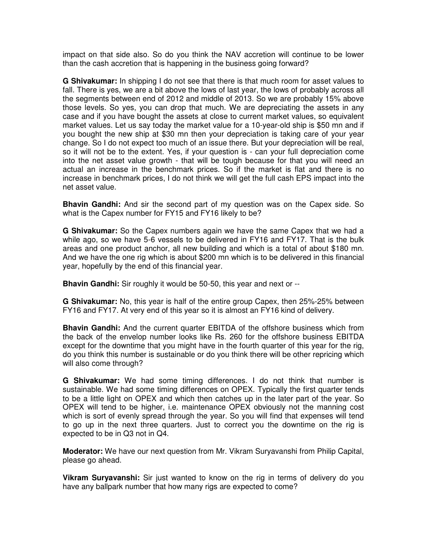impact on that side also. So do you think the NAV accretion will continue to be lower than the cash accretion that is happening in the business going forward?

**G Shivakumar:** In shipping I do not see that there is that much room for asset values to fall. There is yes, we are a bit above the lows of last year, the lows of probably across all the segments between end of 2012 and middle of 2013. So we are probably 15% above those levels. So yes, you can drop that much. We are depreciating the assets in any case and if you have bought the assets at close to current market values, so equivalent market values. Let us say today the market value for a 10-year-old ship is \$50 mn and if you bought the new ship at \$30 mn then your depreciation is taking care of your year change. So I do not expect too much of an issue there. But your depreciation will be real, so it will not be to the extent. Yes, if your question is - can your full depreciation come into the net asset value growth - that will be tough because for that you will need an actual an increase in the benchmark prices. So if the market is flat and there is no increase in benchmark prices, I do not think we will get the full cash EPS impact into the net asset value.

**Bhavin Gandhi:** And sir the second part of my question was on the Capex side. So what is the Capex number for FY15 and FY16 likely to be?

**G Shivakumar:** So the Capex numbers again we have the same Capex that we had a while ago, so we have 5-6 vessels to be delivered in FY16 and FY17. That is the bulk areas and one product anchor, all new building and which is a total of about \$180 mn. And we have the one rig which is about \$200 mn which is to be delivered in this financial year, hopefully by the end of this financial year.

**Bhavin Gandhi:** Sir roughly it would be 50-50, this year and next or --

**G Shivakumar:** No, this year is half of the entire group Capex, then 25%-25% between FY16 and FY17. At very end of this year so it is almost an FY16 kind of delivery.

**Bhavin Gandhi:** And the current quarter EBITDA of the offshore business which from the back of the envelop number looks like Rs. 260 for the offshore business EBITDA except for the downtime that you might have in the fourth quarter of this year for the rig, do you think this number is sustainable or do you think there will be other repricing which will also come through?

**G Shivakumar:** We had some timing differences. I do not think that number is sustainable. We had some timing differences on OPEX. Typically the first quarter tends to be a little light on OPEX and which then catches up in the later part of the year. So OPEX will tend to be higher, i.e. maintenance OPEX obviously not the manning cost which is sort of evenly spread through the year. So you will find that expenses will tend to go up in the next three quarters. Just to correct you the downtime on the rig is expected to be in Q3 not in Q4.

**Moderator:** We have our next question from Mr. Vikram Suryavanshi from Philip Capital, please go ahead.

**Vikram Suryavanshi:** Sir just wanted to know on the rig in terms of delivery do you have any ballpark number that how many rigs are expected to come?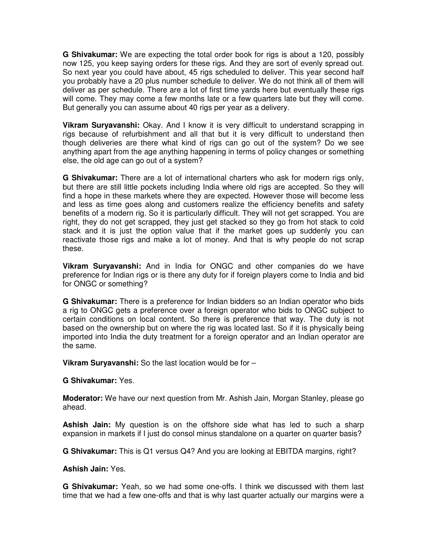**G Shivakumar:** We are expecting the total order book for rigs is about a 120, possibly now 125, you keep saying orders for these rigs. And they are sort of evenly spread out. So next year you could have about, 45 rigs scheduled to deliver. This year second half you probably have a 20 plus number schedule to deliver. We do not think all of them will deliver as per schedule. There are a lot of first time yards here but eventually these rigs will come. They may come a few months late or a few quarters late but they will come. But generally you can assume about 40 rigs per year as a delivery.

**Vikram Suryavanshi:** Okay. And I know it is very difficult to understand scrapping in rigs because of refurbishment and all that but it is very difficult to understand then though deliveries are there what kind of rigs can go out of the system? Do we see anything apart from the age anything happening in terms of policy changes or something else, the old age can go out of a system?

**G Shivakumar:** There are a lot of international charters who ask for modern rigs only, but there are still little pockets including India where old rigs are accepted. So they will find a hope in these markets where they are expected. However those will become less and less as time goes along and customers realize the efficiency benefits and safety benefits of a modern rig. So it is particularly difficult. They will not get scrapped. You are right, they do not get scrapped, they just get stacked so they go from hot stack to cold stack and it is just the option value that if the market goes up suddenly you can reactivate those rigs and make a lot of money. And that is why people do not scrap these.

**Vikram Suryavanshi:** And in India for ONGC and other companies do we have preference for Indian rigs or is there any duty for if foreign players come to India and bid for ONGC or something?

**G Shivakumar:** There is a preference for Indian bidders so an Indian operator who bids a rig to ONGC gets a preference over a foreign operator who bids to ONGC subject to certain conditions on local content. So there is preference that way. The duty is not based on the ownership but on where the rig was located last. So if it is physically being imported into India the duty treatment for a foreign operator and an Indian operator are the same.

**Vikram Suryavanshi:** So the last location would be for –

## **G Shivakumar:** Yes.

**Moderator:** We have our next question from Mr. Ashish Jain, Morgan Stanley, please go ahead.

**Ashish Jain:** My question is on the offshore side what has led to such a sharp expansion in markets if I just do consol minus standalone on a quarter on quarter basis?

**G Shivakumar:** This is Q1 versus Q4? And you are looking at EBITDA margins, right?

## **Ashish Jain:** Yes.

**G Shivakumar:** Yeah, so we had some one-offs. I think we discussed with them last time that we had a few one-offs and that is why last quarter actually our margins were a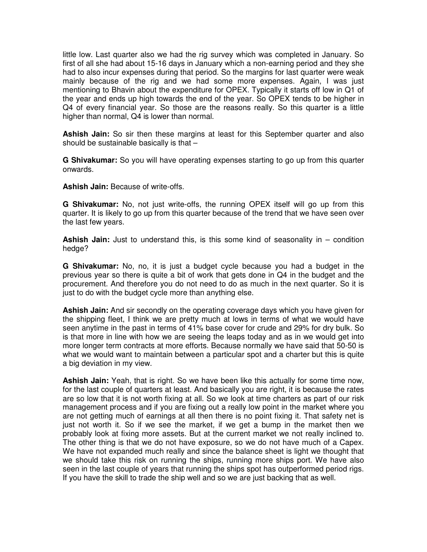little low. Last quarter also we had the rig survey which was completed in January. So first of all she had about 15-16 days in January which a non-earning period and they she had to also incur expenses during that period. So the margins for last quarter were weak mainly because of the rig and we had some more expenses. Again, I was just mentioning to Bhavin about the expenditure for OPEX. Typically it starts off low in Q1 of the year and ends up high towards the end of the year. So OPEX tends to be higher in Q4 of every financial year. So those are the reasons really. So this quarter is a little higher than normal, Q4 is lower than normal.

**Ashish Jain:** So sir then these margins at least for this September quarter and also should be sustainable basically is that –

**G Shivakumar:** So you will have operating expenses starting to go up from this quarter onwards.

**Ashish Jain:** Because of write-offs.

**G Shivakumar:** No, not just write-offs, the running OPEX itself will go up from this quarter. It is likely to go up from this quarter because of the trend that we have seen over the last few years.

**Ashish Jain:** Just to understand this, is this some kind of seasonality in – condition hedge?

**G Shivakumar:** No, no, it is just a budget cycle because you had a budget in the previous year so there is quite a bit of work that gets done in Q4 in the budget and the procurement. And therefore you do not need to do as much in the next quarter. So it is just to do with the budget cycle more than anything else.

**Ashish Jain:** And sir secondly on the operating coverage days which you have given for the shipping fleet, I think we are pretty much at lows in terms of what we would have seen anytime in the past in terms of 41% base cover for crude and 29% for dry bulk. So is that more in line with how we are seeing the leaps today and as in we would get into more longer term contracts at more efforts. Because normally we have said that 50-50 is what we would want to maintain between a particular spot and a charter but this is quite a big deviation in my view.

**Ashish Jain:** Yeah, that is right. So we have been like this actually for some time now, for the last couple of quarters at least. And basically you are right, it is because the rates are so low that it is not worth fixing at all. So we look at time charters as part of our risk management process and if you are fixing out a really low point in the market where you are not getting much of earnings at all then there is no point fixing it. That safety net is just not worth it. So if we see the market, if we get a bump in the market then we probably look at fixing more assets. But at the current market we not really inclined to. The other thing is that we do not have exposure, so we do not have much of a Capex. We have not expanded much really and since the balance sheet is light we thought that we should take this risk on running the ships, running more ships port. We have also seen in the last couple of years that running the ships spot has outperformed period rigs. If you have the skill to trade the ship well and so we are just backing that as well.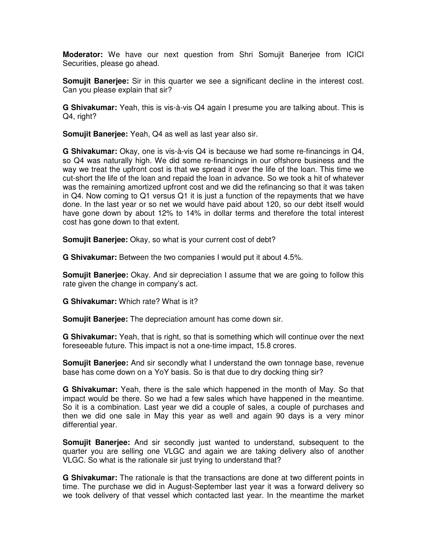**Moderator:** We have our next question from Shri Somujit Banerjee from ICICI Securities, please go ahead.

**Somujit Banerjee:** Sir in this quarter we see a significant decline in the interest cost. Can you please explain that sir?

**G Shivakumar:** Yeah, this is vis-à-vis Q4 again I presume you are talking about. This is Q4, right?

**Somujit Banerjee:** Yeah, Q4 as well as last year also sir.

**G Shivakumar:** Okay, one is vis-à-vis Q4 is because we had some re-financings in Q4, so Q4 was naturally high. We did some re-financings in our offshore business and the way we treat the upfront cost is that we spread it over the life of the loan. This time we cut-short the life of the loan and repaid the loan in advance. So we took a hit of whatever was the remaining amortized upfront cost and we did the refinancing so that it was taken in Q4. Now coming to Q1 versus Q1 it is just a function of the repayments that we have done. In the last year or so net we would have paid about 120, so our debt itself would have gone down by about 12% to 14% in dollar terms and therefore the total interest cost has gone down to that extent.

**Somujit Banerjee:** Okay, so what is your current cost of debt?

**G Shivakumar:** Between the two companies I would put it about 4.5%.

**Somujit Banerjee:** Okay. And sir depreciation I assume that we are going to follow this rate given the change in company's act.

**G Shivakumar:** Which rate? What is it?

**Somujit Banerjee:** The depreciation amount has come down sir.

**G Shivakumar:** Yeah, that is right, so that is something which will continue over the next foreseeable future. This impact is not a one-time impact, 15.8 crores.

**Somujit Banerjee:** And sir secondly what I understand the own tonnage base, revenue base has come down on a YoY basis. So is that due to dry docking thing sir?

**G Shivakumar:** Yeah, there is the sale which happened in the month of May. So that impact would be there. So we had a few sales which have happened in the meantime. So it is a combination. Last year we did a couple of sales, a couple of purchases and then we did one sale in May this year as well and again 90 days is a very minor differential year.

**Somujit Banerjee:** And sir secondly just wanted to understand, subsequent to the quarter you are selling one VLGC and again we are taking delivery also of another VLGC. So what is the rationale sir just trying to understand that?

**G Shivakumar:** The rationale is that the transactions are done at two different points in time. The purchase we did in August-September last year it was a forward delivery so we took delivery of that vessel which contacted last year. In the meantime the market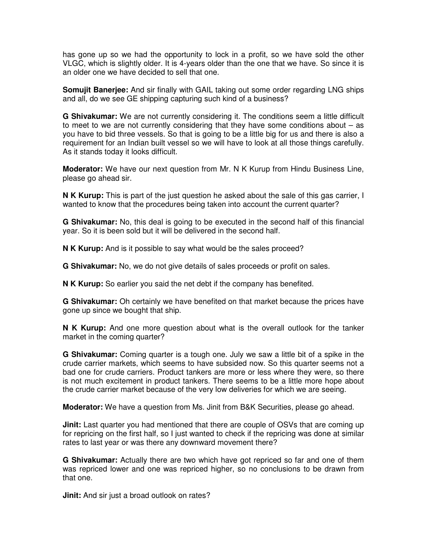has gone up so we had the opportunity to lock in a profit, so we have sold the other VLGC, which is slightly older. It is 4-years older than the one that we have. So since it is an older one we have decided to sell that one.

**Somujit Banerjee:** And sir finally with GAIL taking out some order regarding LNG ships and all, do we see GE shipping capturing such kind of a business?

**G Shivakumar:** We are not currently considering it. The conditions seem a little difficult to meet to we are not currently considering that they have some conditions about – as you have to bid three vessels. So that is going to be a little big for us and there is also a requirement for an Indian built vessel so we will have to look at all those things carefully. As it stands today it looks difficult.

**Moderator:** We have our next question from Mr. N K Kurup from Hindu Business Line, please go ahead sir.

**N K Kurup:** This is part of the just question he asked about the sale of this gas carrier, I wanted to know that the procedures being taken into account the current quarter?

**G Shivakumar:** No, this deal is going to be executed in the second half of this financial year. So it is been sold but it will be delivered in the second half.

**N K Kurup:** And is it possible to say what would be the sales proceed?

**G Shivakumar:** No, we do not give details of sales proceeds or profit on sales.

**N K Kurup:** So earlier you said the net debt if the company has benefited.

**G Shivakumar:** Oh certainly we have benefited on that market because the prices have gone up since we bought that ship.

**N K Kurup:** And one more question about what is the overall outlook for the tanker market in the coming quarter?

**G Shivakumar:** Coming quarter is a tough one. July we saw a little bit of a spike in the crude carrier markets, which seems to have subsided now. So this quarter seems not a bad one for crude carriers. Product tankers are more or less where they were, so there is not much excitement in product tankers. There seems to be a little more hope about the crude carrier market because of the very low deliveries for which we are seeing.

**Moderator:** We have a question from Ms. Jinit from B&K Securities, please go ahead.

**Jinit:** Last quarter you had mentioned that there are couple of OSVs that are coming up for repricing on the first half, so I just wanted to check if the repricing was done at similar rates to last year or was there any downward movement there?

**G Shivakumar:** Actually there are two which have got repriced so far and one of them was repriced lower and one was repriced higher, so no conclusions to be drawn from that one.

**Jinit:** And sir just a broad outlook on rates?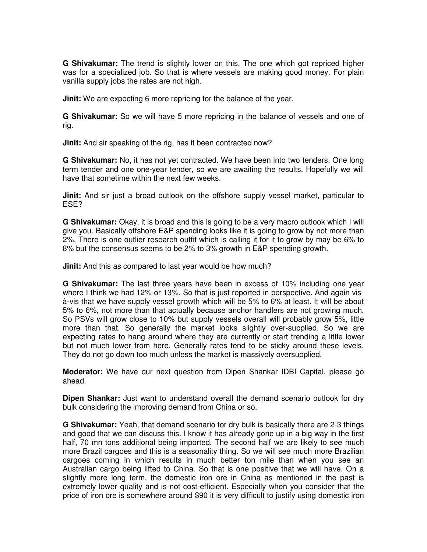**G Shivakumar:** The trend is slightly lower on this. The one which got repriced higher was for a specialized job. So that is where vessels are making good money. For plain vanilla supply jobs the rates are not high.

**Jinit:** We are expecting 6 more repricing for the balance of the year.

**G Shivakumar:** So we will have 5 more repricing in the balance of vessels and one of rig.

**Jinit:** And sir speaking of the rig, has it been contracted now?

**G Shivakumar:** No, it has not yet contracted. We have been into two tenders. One long term tender and one one-year tender, so we are awaiting the results. Hopefully we will have that sometime within the next few weeks.

**Jinit:** And sir just a broad outlook on the offshore supply vessel market, particular to ESE?

**G Shivakumar:** Okay, it is broad and this is going to be a very macro outlook which I will give you. Basically offshore E&P spending looks like it is going to grow by not more than 2%. There is one outlier research outfit which is calling it for it to grow by may be 6% to 8% but the consensus seems to be 2% to 3% growth in E&P spending growth.

**Jinit:** And this as compared to last year would be how much?

**G Shivakumar:** The last three years have been in excess of 10% including one year where I think we had 12% or 13%. So that is just reported in perspective. And again visà-vis that we have supply vessel growth which will be 5% to 6% at least. It will be about 5% to 6%, not more than that actually because anchor handlers are not growing much. So PSVs will grow close to 10% but supply vessels overall will probably grow 5%, little more than that. So generally the market looks slightly over-supplied. So we are expecting rates to hang around where they are currently or start trending a little lower but not much lower from here. Generally rates tend to be sticky around these levels. They do not go down too much unless the market is massively oversupplied.

**Moderator:** We have our next question from Dipen Shankar IDBI Capital, please go ahead.

**Dipen Shankar:** Just want to understand overall the demand scenario outlook for dry bulk considering the improving demand from China or so.

**G Shivakumar:** Yeah, that demand scenario for dry bulk is basically there are 2-3 things and good that we can discuss this. I know it has already gone up in a big way in the first half, 70 mn tons additional being imported. The second half we are likely to see much more Brazil cargoes and this is a seasonality thing. So we will see much more Brazilian cargoes coming in which results in much better ton mile than when you see an Australian cargo being lifted to China. So that is one positive that we will have. On a slightly more long term, the domestic iron ore in China as mentioned in the past is extremely lower quality and is not cost-efficient. Especially when you consider that the price of iron ore is somewhere around \$90 it is very difficult to justify using domestic iron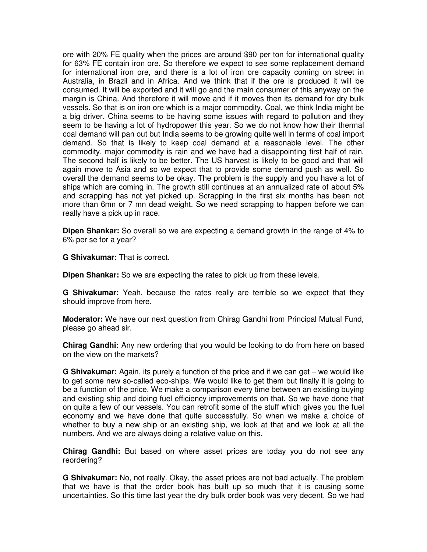ore with 20% FE quality when the prices are around \$90 per ton for international quality for 63% FE contain iron ore. So therefore we expect to see some replacement demand for international iron ore, and there is a lot of iron ore capacity coming on street in Australia, in Brazil and in Africa. And we think that if the ore is produced it will be consumed. It will be exported and it will go and the main consumer of this anyway on the margin is China. And therefore it will move and if it moves then its demand for dry bulk vessels. So that is on iron ore which is a major commodity. Coal, we think India might be a big driver. China seems to be having some issues with regard to pollution and they seem to be having a lot of hydropower this year. So we do not know how their thermal coal demand will pan out but India seems to be growing quite well in terms of coal import demand. So that is likely to keep coal demand at a reasonable level. The other commodity, major commodity is rain and we have had a disappointing first half of rain. The second half is likely to be better. The US harvest is likely to be good and that will again move to Asia and so we expect that to provide some demand push as well. So overall the demand seems to be okay. The problem is the supply and you have a lot of ships which are coming in. The growth still continues at an annualized rate of about 5% and scrapping has not yet picked up. Scrapping in the first six months has been not more than 6mn or 7 mn dead weight. So we need scrapping to happen before we can really have a pick up in race.

**Dipen Shankar:** So overall so we are expecting a demand growth in the range of 4% to 6% per se for a year?

**G Shivakumar:** That is correct.

**Dipen Shankar:** So we are expecting the rates to pick up from these levels.

**G Shivakumar:** Yeah, because the rates really are terrible so we expect that they should improve from here.

**Moderator:** We have our next question from Chirag Gandhi from Principal Mutual Fund, please go ahead sir.

**Chirag Gandhi:** Any new ordering that you would be looking to do from here on based on the view on the markets?

**G Shivakumar:** Again, its purely a function of the price and if we can get – we would like to get some new so-called eco-ships. We would like to get them but finally it is going to be a function of the price. We make a comparison every time between an existing buying and existing ship and doing fuel efficiency improvements on that. So we have done that on quite a few of our vessels. You can retrofit some of the stuff which gives you the fuel economy and we have done that quite successfully. So when we make a choice of whether to buy a new ship or an existing ship, we look at that and we look at all the numbers. And we are always doing a relative value on this.

**Chirag Gandhi:** But based on where asset prices are today you do not see any reordering?

**G Shivakumar:** No, not really. Okay, the asset prices are not bad actually. The problem that we have is that the order book has built up so much that it is causing some uncertainties. So this time last year the dry bulk order book was very decent. So we had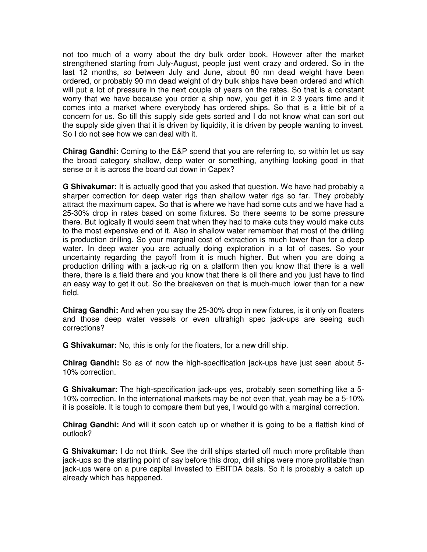not too much of a worry about the dry bulk order book. However after the market strengthened starting from July-August, people just went crazy and ordered. So in the last 12 months, so between July and June, about 80 mn dead weight have been ordered, or probably 90 mn dead weight of dry bulk ships have been ordered and which will put a lot of pressure in the next couple of years on the rates. So that is a constant worry that we have because you order a ship now, you get it in 2-3 years time and it comes into a market where everybody has ordered ships. So that is a little bit of a concern for us. So till this supply side gets sorted and I do not know what can sort out the supply side given that it is driven by liquidity, it is driven by people wanting to invest. So I do not see how we can deal with it.

**Chirag Gandhi:** Coming to the E&P spend that you are referring to, so within let us say the broad category shallow, deep water or something, anything looking good in that sense or it is across the board cut down in Capex?

**G Shivakumar:** It is actually good that you asked that question. We have had probably a sharper correction for deep water rigs than shallow water rigs so far. They probably attract the maximum capex. So that is where we have had some cuts and we have had a 25-30% drop in rates based on some fixtures. So there seems to be some pressure there. But logically it would seem that when they had to make cuts they would make cuts to the most expensive end of it. Also in shallow water remember that most of the drilling is production drilling. So your marginal cost of extraction is much lower than for a deep water. In deep water you are actually doing exploration in a lot of cases. So your uncertainty regarding the payoff from it is much higher. But when you are doing a production drilling with a jack-up rig on a platform then you know that there is a well there, there is a field there and you know that there is oil there and you just have to find an easy way to get it out. So the breakeven on that is much-much lower than for a new field.

**Chirag Gandhi:** And when you say the 25-30% drop in new fixtures, is it only on floaters and those deep water vessels or even ultrahigh spec jack-ups are seeing such corrections?

**G Shivakumar:** No, this is only for the floaters, for a new drill ship.

**Chirag Gandhi:** So as of now the high-specification jack-ups have just seen about 5- 10% correction.

**G Shivakumar:** The high-specification jack-ups yes, probably seen something like a 5- 10% correction. In the international markets may be not even that, yeah may be a 5-10% it is possible. It is tough to compare them but yes, I would go with a marginal correction.

**Chirag Gandhi:** And will it soon catch up or whether it is going to be a flattish kind of outlook?

**G Shivakumar:** I do not think. See the drill ships started off much more profitable than jack-ups so the starting point of say before this drop, drill ships were more profitable than jack-ups were on a pure capital invested to EBITDA basis. So it is probably a catch up already which has happened.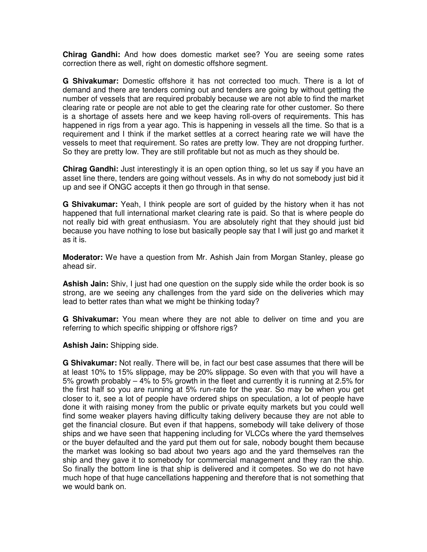**Chirag Gandhi:** And how does domestic market see? You are seeing some rates correction there as well, right on domestic offshore segment.

**G Shivakumar:** Domestic offshore it has not corrected too much. There is a lot of demand and there are tenders coming out and tenders are going by without getting the number of vessels that are required probably because we are not able to find the market clearing rate or people are not able to get the clearing rate for other customer. So there is a shortage of assets here and we keep having roll-overs of requirements. This has happened in rigs from a year ago. This is happening in vessels all the time. So that is a requirement and I think if the market settles at a correct hearing rate we will have the vessels to meet that requirement. So rates are pretty low. They are not dropping further. So they are pretty low. They are still profitable but not as much as they should be.

**Chirag Gandhi:** Just interestingly it is an open option thing, so let us say if you have an asset line there, tenders are going without vessels. As in why do not somebody just bid it up and see if ONGC accepts it then go through in that sense.

**G Shivakumar:** Yeah, I think people are sort of guided by the history when it has not happened that full international market clearing rate is paid. So that is where people do not really bid with great enthusiasm. You are absolutely right that they should just bid because you have nothing to lose but basically people say that I will just go and market it as it is.

**Moderator:** We have a question from Mr. Ashish Jain from Morgan Stanley, please go ahead sir.

**Ashish Jain:** Shiv, I just had one question on the supply side while the order book is so strong, are we seeing any challenges from the yard side on the deliveries which may lead to better rates than what we might be thinking today?

**G Shivakumar:** You mean where they are not able to deliver on time and you are referring to which specific shipping or offshore rigs?

**Ashish Jain:** Shipping side.

**G Shivakumar:** Not really. There will be, in fact our best case assumes that there will be at least 10% to 15% slippage, may be 20% slippage. So even with that you will have a 5% growth probably – 4% to 5% growth in the fleet and currently it is running at 2.5% for the first half so you are running at 5% run-rate for the year. So may be when you get closer to it, see a lot of people have ordered ships on speculation, a lot of people have done it with raising money from the public or private equity markets but you could well find some weaker players having difficulty taking delivery because they are not able to get the financial closure. But even if that happens, somebody will take delivery of those ships and we have seen that happening including for VLCCs where the yard themselves or the buyer defaulted and the yard put them out for sale, nobody bought them because the market was looking so bad about two years ago and the yard themselves ran the ship and they gave it to somebody for commercial management and they ran the ship. So finally the bottom line is that ship is delivered and it competes. So we do not have much hope of that huge cancellations happening and therefore that is not something that we would bank on.